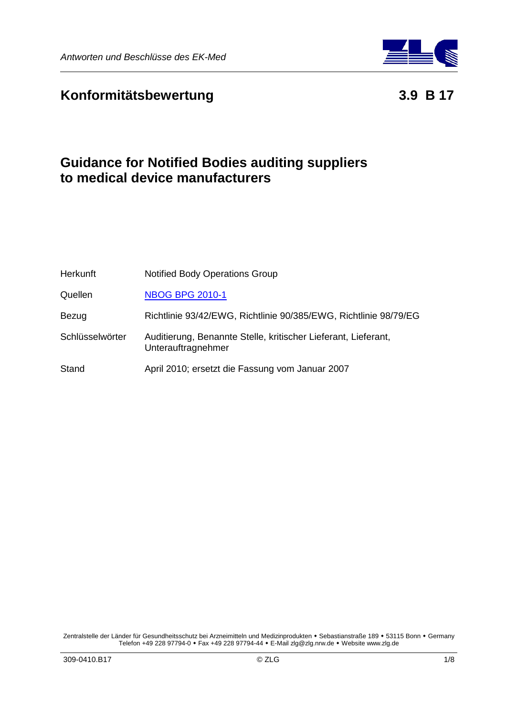



# **Guidance for Notified Bodies auditing suppliers to medical device manufacturers**

| <b>Herkunft</b> | <b>Notified Body Operations Group</b>                                                |
|-----------------|--------------------------------------------------------------------------------------|
| Quellen         | <b>NBOG BPG 2010-1</b>                                                               |
| Bezug           | Richtlinie 93/42/EWG, Richtlinie 90/385/EWG, Richtlinie 98/79/EG                     |
| Schlüsselwörter | Auditierung, Benannte Stelle, kritischer Lieferant, Lieferant,<br>Unterauftragnehmer |
| Stand           | April 2010; ersetzt die Fassung vom Januar 2007                                      |

Zentralstelle der Länder für Gesundheitsschutz bei Arzneimitteln und Medizinprodukten • Sebastianstraße 189 • 53115 Bonn • Germany Telefon +49 228 97794-0 • Fax +49 228 97794-44 • E-Mail zlg@zlg.nrw.de • Website www.zlg.de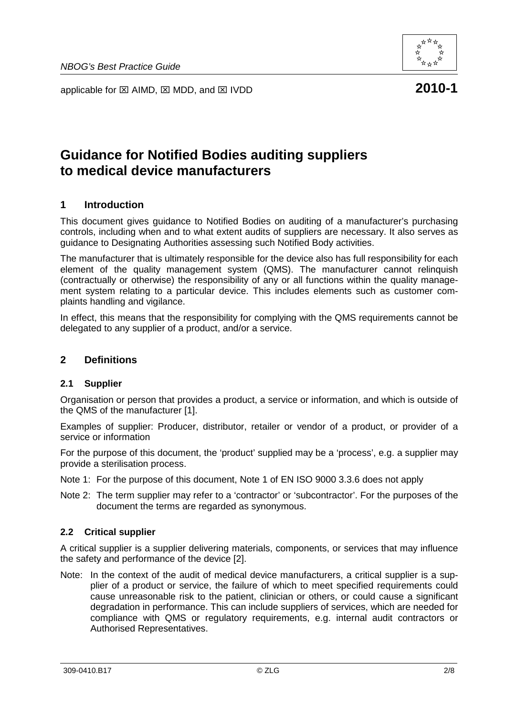



# **Guidance for Notified Bodies auditing suppliers to medical device manufacturers**

### **1 Introduction**

This document gives guidance to Notified Bodies on auditing of a manufacturer's purchasing controls, including when and to what extent audits of suppliers are necessary. It also serves as guidance to Designating Authorities assessing such Notified Body activities.

The manufacturer that is ultimately responsible for the device also has full responsibility for each element of the quality management system (QMS). The manufacturer cannot relinquish (contractually or otherwise) the responsibility of any or all functions within the quality management system relating to a particular device. This includes elements such as customer complaints handling and vigilance.

In effect, this means that the responsibility for complying with the QMS requirements cannot be delegated to any supplier of a product, and/or a service.

#### **2 Definitions**

#### **2.1 Supplier**

Organisation or person that provides a product, a service or information, and which is outside of the QMS of the manufacturer [1].

Examples of supplier: Producer, distributor, retailer or vendor of a product, or provider of a service or information

For the purpose of this document, the 'product' supplied may be a 'process', e.g. a supplier may provide a sterilisation process.

- Note 1: For the purpose of this document, Note 1 of EN ISO 9000 3.3.6 does not apply
- Note 2: The term supplier may refer to a 'contractor' or 'subcontractor'. For the purposes of the document the terms are regarded as synonymous.

#### **2.2 Critical supplier**

A critical supplier is a supplier delivering materials, components, or services that may influence the safety and performance of the device [2].

Note: In the context of the audit of medical device manufacturers, a critical supplier is a supplier of a product or service, the failure of which to meet specified requirements could cause unreasonable risk to the patient, clinician or others, or could cause a significant degradation in performance. This can include suppliers of services, which are needed for compliance with QMS or regulatory requirements, e.g. internal audit contractors or Authorised Representatives.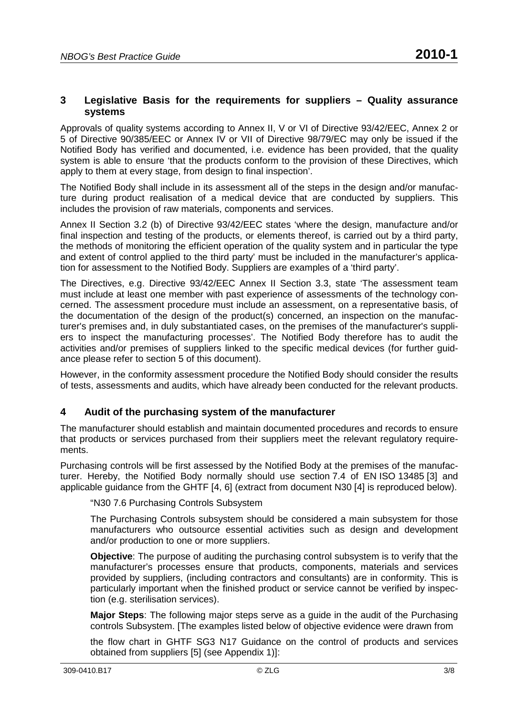#### Approvals of quality systems according to Annex II, V or VI of Directive 93/42/EEC, Annex 2 or 5 of Directive 90/385/EEC or Annex IV or VII of Directive 98/79/EC may only be issued if the Notified Body has verified and documented, i.e. evidence has been provided, that the quality system is able to ensure 'that the products conform to the provision of these Directives, which apply to them at every stage, from design to final inspection'.

The Notified Body shall include in its assessment all of the steps in the design and/or manufacture during product realisation of a medical device that are conducted by suppliers. This includes the provision of raw materials, components and services.

Annex II Section 3.2 (b) of Directive 93/42/EEC states 'where the design, manufacture and/or final inspection and testing of the products, or elements thereof, is carried out by a third party, the methods of monitoring the efficient operation of the quality system and in particular the type and extent of control applied to the third party' must be included in the manufacturer's application for assessment to the Notified Body. Suppliers are examples of a 'third party'.

The Directives, e.g. Directive 93/42/EEC Annex II Section 3.3, state 'The assessment team must include at least one member with past experience of assessments of the technology concerned. The assessment procedure must include an assessment, on a representative basis, of the documentation of the design of the product(s) concerned, an inspection on the manufacturer's premises and, in duly substantiated cases, on the premises of the manufacturer's suppliers to inspect the manufacturing processes'. The Notified Body therefore has to audit the activities and/or premises of suppliers linked to the specific medical devices (for further guidance please refer to section 5 of this document).

However, in the conformity assessment procedure the Notified Body should consider the results of tests, assessments and audits, which have already been conducted for the relevant products.

#### **4 Audit of the purchasing system of the manufacturer**

The manufacturer should establish and maintain documented procedures and records to ensure that products or services purchased from their suppliers meet the relevant regulatory requirements.

Purchasing controls will be first assessed by the Notified Body at the premises of the manufacturer. Hereby, the Notified Body normally should use section 7.4 of EN ISO 13485 [3] and applicable guidance from the GHTF [4, 6] (extract from document N30 [4] is reproduced below).

"N30 7.6 Purchasing Controls Subsystem

The Purchasing Controls subsystem should be considered a main subsystem for those manufacturers who outsource essential activities such as design and development and/or production to one or more suppliers.

**Objective**: The purpose of auditing the purchasing control subsystem is to verify that the manufacturer's processes ensure that products, components, materials and services provided by suppliers, (including contractors and consultants) are in conformity. This is particularly important when the finished product or service cannot be verified by inspection (e.g. sterilisation services).

**Major Steps**: The following major steps serve as a guide in the audit of the Purchasing controls Subsystem. [The examples listed below of objective evidence were drawn from

the flow chart in GHTF SG3 N17 Guidance on the control of products and services obtained from suppliers [5] (see Appendix 1)]: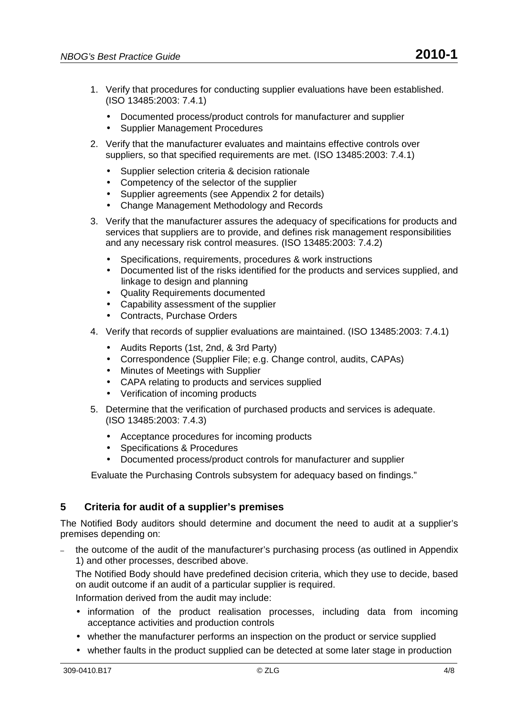- 1. Verify that procedures for conducting supplier evaluations have been established. (ISO 13485:2003: 7.4.1)
	- Documented process/product controls for manufacturer and supplier
	- Supplier Management Procedures
- 2. Verify that the manufacturer evaluates and maintains effective controls over suppliers, so that specified requirements are met. (ISO 13485:2003: 7.4.1)
	- Supplier selection criteria & decision rationale
	- Competency of the selector of the supplier
	- Supplier agreements (see Appendix 2 for details)
	- Change Management Methodology and Records
- 3. Verify that the manufacturer assures the adequacy of specifications for products and services that suppliers are to provide, and defines risk management responsibilities and any necessary risk control measures. (ISO 13485:2003: 7.4.2)
	- Specifications, requirements, procedures & work instructions
	- Documented list of the risks identified for the products and services supplied, and linkage to design and planning
	- Quality Requirements documented
	- Capability assessment of the supplier
	- Contracts, Purchase Orders
- 4. Verify that records of supplier evaluations are maintained. (ISO 13485:2003: 7.4.1)
	- Audits Reports (1st, 2nd, & 3rd Party)
	- Correspondence (Supplier File; e.g. Change control, audits, CAPAs)
	- Minutes of Meetings with Supplier
	- CAPA relating to products and services supplied
	- Verification of incoming products
- 5. Determine that the verification of purchased products and services is adequate. (ISO 13485:2003: 7.4.3)
	- Acceptance procedures for incoming products
	- Specifications & Procedures
	- Documented process/product controls for manufacturer and supplier

Evaluate the Purchasing Controls subsystem for adequacy based on findings."

## **5 Criteria for audit of a supplier's premises**

The Notified Body auditors should determine and document the need to audit at a supplier's premises depending on:

– the outcome of the audit of the manufacturer's purchasing process (as outlined in Appendix 1) and other processes, described above.

The Notified Body should have predefined decision criteria, which they use to decide, based on audit outcome if an audit of a particular supplier is required.

Information derived from the audit may include:

- information of the product realisation processes, including data from incoming acceptance activities and production controls
- whether the manufacturer performs an inspection on the product or service supplied
- whether faults in the product supplied can be detected at some later stage in production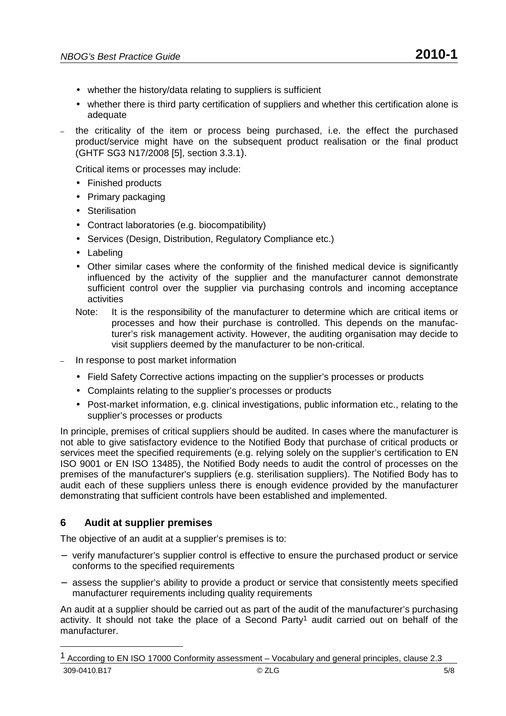- whether the history/data relating to suppliers is sufficient
- whether there is third party certification of suppliers and whether this certification alone is adequate
- the criticality of the item or process being purchased, i.e. the effect the purchased product/service might have on the subsequent product realisation or the final product (GHTF SG3 N17/2008 [5], section 3.3.1).

Critical items or processes may include:

- Finished products
- Primary packaging
- Sterilisation
- Contract laboratories (e.g. biocompatibility)
- Services (Design, Distribution, Regulatory Compliance etc.)
- Labeling
- Other similar cases where the conformity of the finished medical device is significantly influenced by the activity of the supplier and the manufacturer cannot demonstrate sufficient control over the supplier via purchasing controls and incoming acceptance activities
- Note: It is the responsibility of the manufacturer to determine which are critical items or processes and how their purchase is controlled. This depends on the manufacturer's risk management activity. However, the auditing organisation may decide to visit suppliers deemed by the manufacturer to be non-critical.
- In response to post market information
	- Field Safety Corrective actions impacting on the supplier's processes or products
	- Complaints relating to the supplier's processes or products
	- Post-market information, e.g. clinical investigations, public information etc., relating to the supplier's processes or products

In principle, premises of critical suppliers should be audited. In cases where the manufacturer is not able to give satisfactory evidence to the Notified Body that purchase of critical products or services meet the specified requirements (e.g. relying solely on the supplier's certification to EN ISO 9001 or EN ISO 13485), the Notified Body needs to audit the control of processes on the premises of the manufacturer's suppliers (e.g. sterilisation suppliers). The Notified Body has to audit each of these suppliers unless there is enough evidence provided by the manufacturer demonstrating that sufficient controls have been established and implemented.

#### **6 Audit at supplier premises**

The objective of an audit at a supplier's premises is to:

- − verify manufacturer's supplier control is effective to ensure the purchased product or service conforms to the specified requirements
- − assess the supplier's ability to provide a product or service that consistently meets specified manufacturer requirements including quality requirements

An audit at a supplier should be carried out as part of the audit of the manufacturer's purchasing activity. It should not take the place of a Second Party<sup>1</sup> audit carried out on behalf of the manufacturer.

<sup>309-0410.</sup>B17 © ZLG 5/8 1 According to EN ISO 17000 Conformity assessment – Vocabulary and general principles, clause 2.3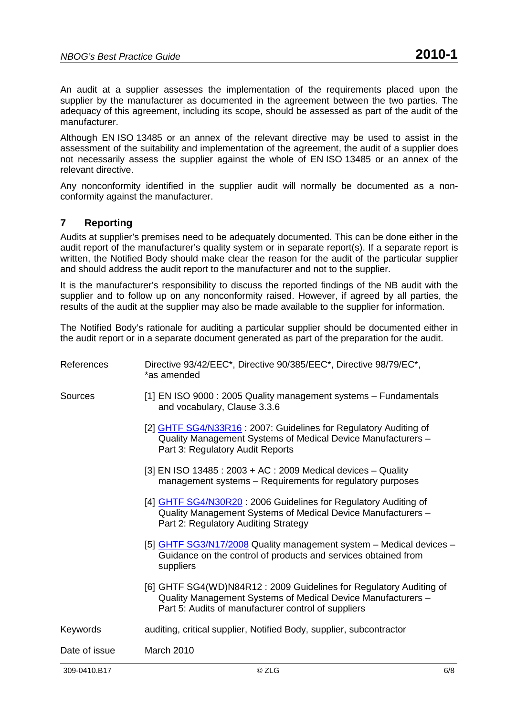An audit at a supplier assesses the implementation of the requirements placed upon the supplier by the manufacturer as documented in the agreement between the two parties. The adequacy of this agreement, including its scope, should be assessed as part of the audit of the manufacturer.

Although EN ISO 13485 or an annex of the relevant directive may be used to assist in the assessment of the suitability and implementation of the agreement, the audit of a supplier does not necessarily assess the supplier against the whole of EN ISO 13485 or an annex of the relevant directive.

Any nonconformity identified in the supplier audit will normally be documented as a nonconformity against the manufacturer.

### **7 Reporting**

Audits at supplier's premises need to be adequately documented. This can be done either in the audit report of the manufacturer's quality system or in separate report(s). If a separate report is written, the Notified Body should make clear the reason for the audit of the particular supplier and should address the audit report to the manufacturer and not to the supplier.

It is the manufacturer's responsibility to discuss the reported findings of the NB audit with the supplier and to follow up on any nonconformity raised. However, if agreed by all parties, the results of the audit at the supplier may also be made available to the supplier for information.

The Notified Body's rationale for auditing a particular supplier should be documented either in the audit report or in a separate document generated as part of the preparation for the audit.

| 309-0410.B17   | © ZLG                                                                                                                                                                                     | 6/8 |
|----------------|-------------------------------------------------------------------------------------------------------------------------------------------------------------------------------------------|-----|
| Date of issue  | March 2010                                                                                                                                                                                |     |
| Keywords       | auditing, critical supplier, Notified Body, supplier, subcontractor                                                                                                                       |     |
|                | [6] GHTF SG4(WD)N84R12: 2009 Guidelines for Regulatory Auditing of<br>Quality Management Systems of Medical Device Manufacturers -<br>Part 5: Audits of manufacturer control of suppliers |     |
|                | [5] GHTF SG3/N17/2008 Quality management system - Medical devices -<br>Guidance on the control of products and services obtained from<br>suppliers                                        |     |
|                | [4] GHTF SG4/N30R20: 2006 Guidelines for Regulatory Auditing of<br>Quality Management Systems of Medical Device Manufacturers -<br>Part 2: Regulatory Auditing Strategy                   |     |
|                | [3] EN ISO 13485 : 2003 + AC : 2009 Medical devices - Quality<br>management systems - Requirements for regulatory purposes                                                                |     |
|                | [2] GHTF SG4/N33R16: 2007: Guidelines for Regulatory Auditing of<br>Quality Management Systems of Medical Device Manufacturers -<br>Part 3: Regulatory Audit Reports                      |     |
| <b>Sources</b> | [1] EN ISO 9000 : 2005 Quality management systems - Fundamentals<br>and vocabulary, Clause 3.3.6                                                                                          |     |
| References     | Directive 93/42/EEC*, Directive 90/385/EEC*, Directive 98/79/EC*,<br>*as amended                                                                                                          |     |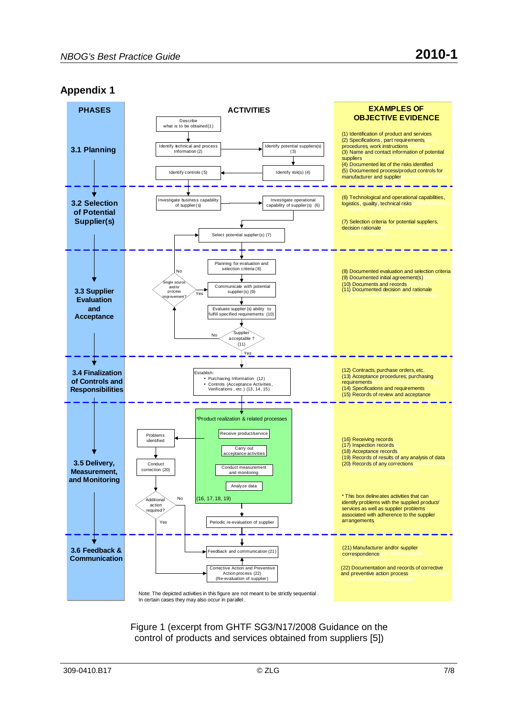#### **Appendix 1**



Figure 1 (excerpt from GHTF SG3/N17/2008 Guidance on the control of products and services obtained from suppliers [5])